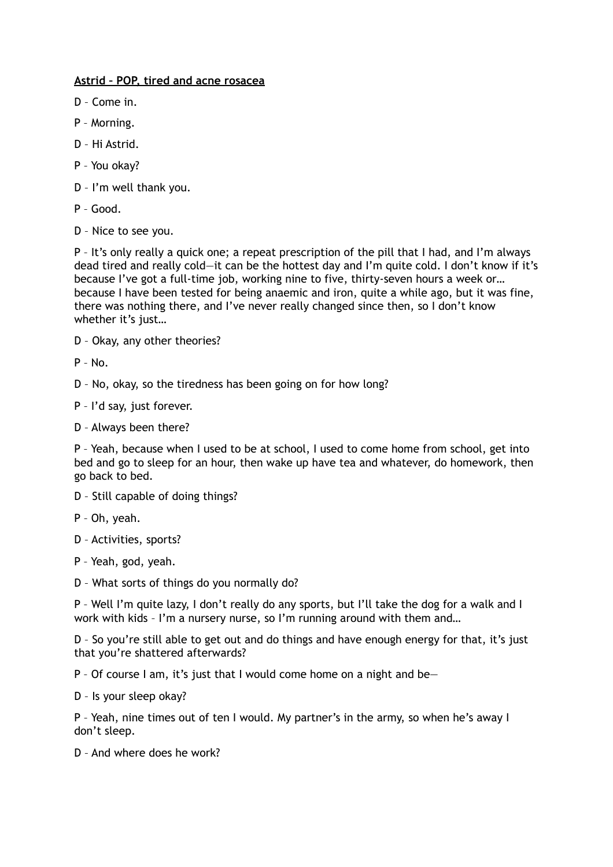## **Astrid – POP, tired and acne rosacea**

- D Come in.
- P Morning.
- D Hi Astrid.
- P You okay?
- D I'm well thank you.
- P Good.
- D Nice to see you.

P – It's only really a quick one; a repeat prescription of the pill that I had, and I'm always dead tired and really cold—it can be the hottest day and I'm quite cold. I don't know if it's because I've got a full-time job, working nine to five, thirty-seven hours a week or… because I have been tested for being anaemic and iron, quite a while ago, but it was fine, there was nothing there, and I've never really changed since then, so I don't know whether it's just…

D – Okay, any other theories?

 $P - No$ .

D – No, okay, so the tiredness has been going on for how long?

P – I'd say, just forever.

D – Always been there?

P – Yeah, because when I used to be at school, I used to come home from school, get into bed and go to sleep for an hour, then wake up have tea and whatever, do homework, then go back to bed.

- D Still capable of doing things?
- P Oh, yeah.
- D Activities, sports?
- P Yeah, god, yeah.
- D What sorts of things do you normally do?

P – Well I'm quite lazy, I don't really do any sports, but I'll take the dog for a walk and I work with kids – I'm a nursery nurse, so I'm running around with them and…

D – So you're still able to get out and do things and have enough energy for that, it's just that you're shattered afterwards?

P – Of course I am, it's just that I would come home on a night and be—

D – Is your sleep okay?

P – Yeah, nine times out of ten I would. My partner's in the army, so when he's away I don't sleep.

D – And where does he work?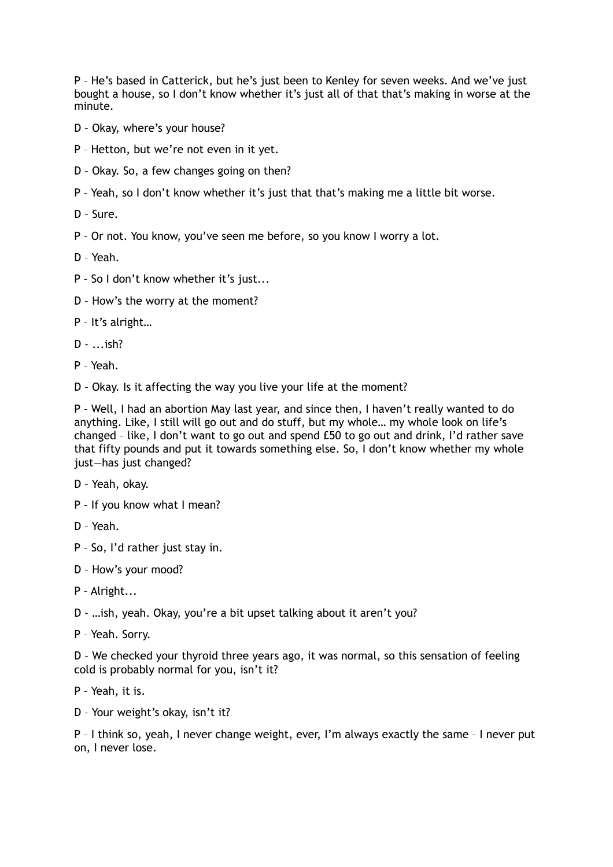P – He's based in Catterick, but he's just been to Kenley for seven weeks. And we've just bought a house, so I don't know whether it's just all of that that's making in worse at the minute.

- D Okay, where's your house?
- P Hetton, but we're not even in it yet.
- D Okay. So, a few changes going on then?
- P Yeah, so I don't know whether it's just that that's making me a little bit worse.
- D Sure.
- P Or not. You know, you've seen me before, so you know I worry a lot.
- D Yeah.
- P So I don't know whether it's just...
- D How's the worry at the moment?
- P It's alright…
- $D ...$ ish?
- P Yeah.
- D Okay. Is it affecting the way you live your life at the moment?

P – Well, I had an abortion May last year, and since then, I haven't really wanted to do anything. Like, I still will go out and do stuff, but my whole… my whole look on life's changed – like, I don't want to go out and spend £50 to go out and drink, I'd rather save that fifty pounds and put it towards something else. So, I don't know whether my whole just—has just changed?

- D Yeah, okay.
- P If you know what I mean?
- D Yeah.
- P So, I'd rather just stay in.
- D How's your mood?
- P Alright...
- D …ish, yeah. Okay, you're a bit upset talking about it aren't you?
- P Yeah. Sorry.

D – We checked your thyroid three years ago, it was normal, so this sensation of feeling cold is probably normal for you, isn't it?

- P Yeah, it is.
- D Your weight's okay, isn't it?

P – I think so, yeah, I never change weight, ever, I'm always exactly the same – I never put on, I never lose.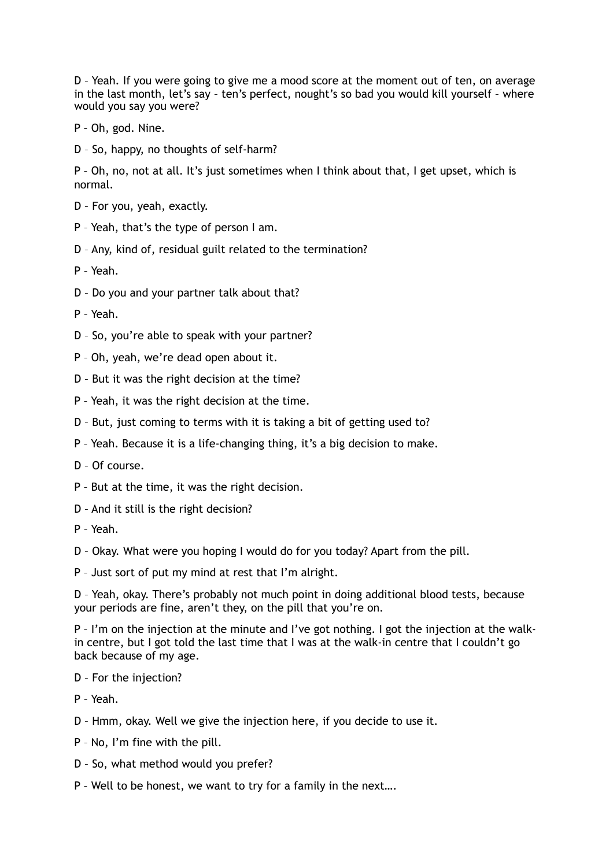D – Yeah. If you were going to give me a mood score at the moment out of ten, on average in the last month, let's say – ten's perfect, nought's so bad you would kill yourself – where would you say you were?

- P Oh, god. Nine.
- D So, happy, no thoughts of self-harm?

P – Oh, no, not at all. It's just sometimes when I think about that, I get upset, which is normal.

- D For you, yeah, exactly.
- P Yeah, that's the type of person I am.
- D Any, kind of, residual guilt related to the termination?
- P Yeah.
- D Do you and your partner talk about that?
- P Yeah.
- D So, you're able to speak with your partner?
- P Oh, yeah, we're dead open about it.
- D But it was the right decision at the time?
- P Yeah, it was the right decision at the time.
- D But, just coming to terms with it is taking a bit of getting used to?
- P Yeah. Because it is a life-changing thing, it's a big decision to make.
- D Of course.
- P But at the time, it was the right decision.
- D And it still is the right decision?
- P Yeah.
- D Okay. What were you hoping I would do for you today? Apart from the pill.
- P Just sort of put my mind at rest that I'm alright.

D – Yeah, okay. There's probably not much point in doing additional blood tests, because your periods are fine, aren't they, on the pill that you're on.

P – I'm on the injection at the minute and I've got nothing. I got the injection at the walkin centre, but I got told the last time that I was at the walk-in centre that I couldn't go back because of my age.

- D For the injection?
- P Yeah.
- D Hmm, okay. Well we give the injection here, if you decide to use it.
- P No, I'm fine with the pill.
- D So, what method would you prefer?
- P Well to be honest, we want to try for a family in the next….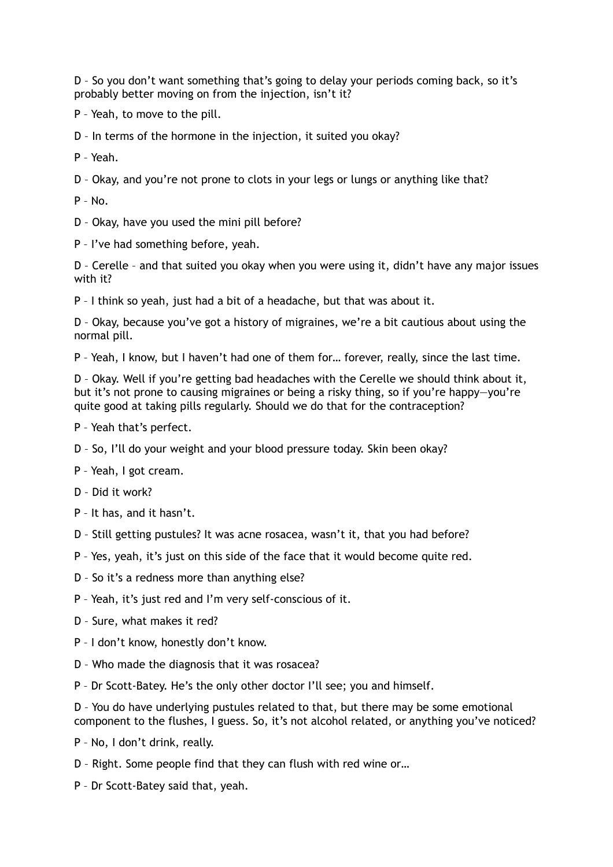D – So you don't want something that's going to delay your periods coming back, so it's probably better moving on from the injection, isn't it?

P – Yeah, to move to the pill.

D – In terms of the hormone in the injection, it suited you okay?

P – Yeah.

D – Okay, and you're not prone to clots in your legs or lungs or anything like that?

 $P - No$ .

D – Okay, have you used the mini pill before?

P – I've had something before, yeah.

D – Cerelle – and that suited you okay when you were using it, didn't have any major issues with it?

P – I think so yeah, just had a bit of a headache, but that was about it.

D – Okay, because you've got a history of migraines, we're a bit cautious about using the normal pill.

P – Yeah, I know, but I haven't had one of them for… forever, really, since the last time.

D – Okay. Well if you're getting bad headaches with the Cerelle we should think about it, but it's not prone to causing migraines or being a risky thing, so if you're happy—you're quite good at taking pills regularly. Should we do that for the contraception?

P – Yeah that's perfect.

D – So, I'll do your weight and your blood pressure today. Skin been okay?

P – Yeah, I got cream.

D – Did it work?

P – It has, and it hasn't.

D – Still getting pustules? It was acne rosacea, wasn't it, that you had before?

P – Yes, yeah, it's just on this side of the face that it would become quite red.

D – So it's a redness more than anything else?

P – Yeah, it's just red and I'm very self-conscious of it.

D – Sure, what makes it red?

P – I don't know, honestly don't know.

D – Who made the diagnosis that it was rosacea?

P – Dr Scott-Batey. He's the only other doctor I'll see; you and himself.

D – You do have underlying pustules related to that, but there may be some emotional component to the flushes, I guess. So, it's not alcohol related, or anything you've noticed?

P – No, I don't drink, really.

D – Right. Some people find that they can flush with red wine or…

P – Dr Scott-Batey said that, yeah.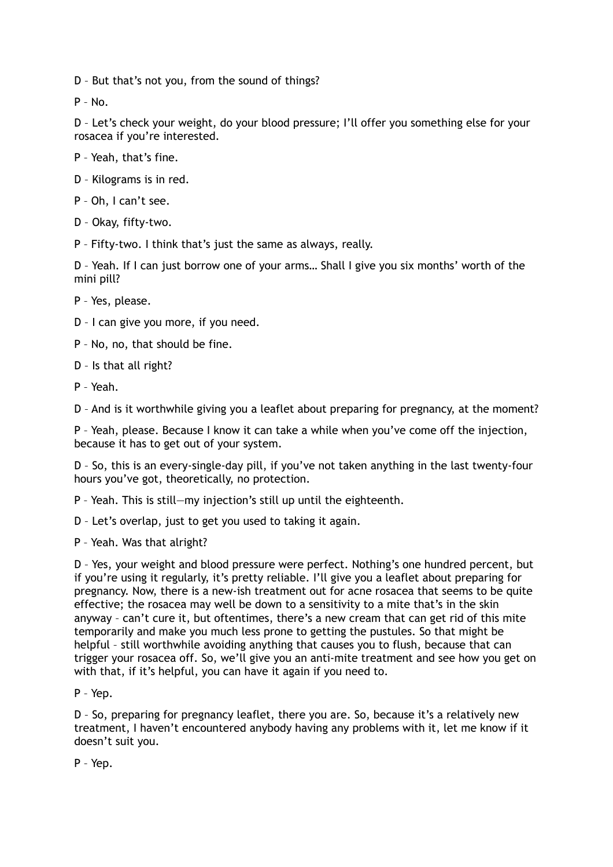D – But that's not you, from the sound of things?

 $P - N_0$ 

D – Let's check your weight, do your blood pressure; I'll offer you something else for your rosacea if you're interested.

- P Yeah, that's fine.
- D Kilograms is in red.
- P Oh, I can't see.
- D Okay, fifty-two.
- P Fifty-two. I think that's just the same as always, really.

D – Yeah. If I can just borrow one of your arms… Shall I give you six months' worth of the mini pill?

P – Yes, please.

- D I can give you more, if you need.
- P No, no, that should be fine.
- D Is that all right?
- P Yeah.

D – And is it worthwhile giving you a leaflet about preparing for pregnancy, at the moment?

P – Yeah, please. Because I know it can take a while when you've come off the injection, because it has to get out of your system.

D – So, this is an every-single-day pill, if you've not taken anything in the last twenty-four hours you've got, theoretically, no protection.

- P Yeah. This is still—my injection's still up until the eighteenth.
- D Let's overlap, just to get you used to taking it again.
- P Yeah. Was that alright?

D – Yes, your weight and blood pressure were perfect. Nothing's one hundred percent, but if you're using it regularly, it's pretty reliable. I'll give you a leaflet about preparing for pregnancy. Now, there is a new-ish treatment out for acne rosacea that seems to be quite effective; the rosacea may well be down to a sensitivity to a mite that's in the skin anyway – can't cure it, but oftentimes, there's a new cream that can get rid of this mite temporarily and make you much less prone to getting the pustules. So that might be helpful – still worthwhile avoiding anything that causes you to flush, because that can trigger your rosacea off. So, we'll give you an anti-mite treatment and see how you get on with that, if it's helpful, you can have it again if you need to.

P – Yep.

D – So, preparing for pregnancy leaflet, there you are. So, because it's a relatively new treatment, I haven't encountered anybody having any problems with it, let me know if it doesn't suit you.

P – Yep.